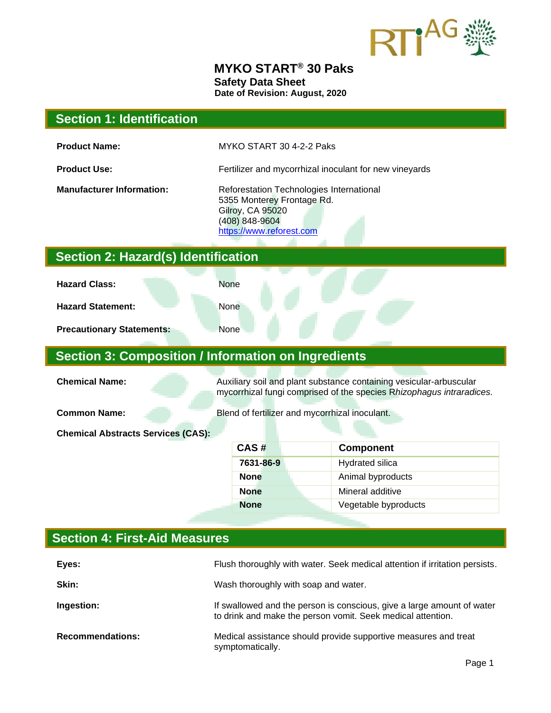

#### **MYKO START® 30 Paks Safety Data Sheet Date of Revision: August, 2020**

# **Section 1: Identification Product Name:** MYKO START 30 4-2-2 Paks **Product Use:** Fertilizer and mycorrhizal inoculant for new vineyards **Manufacturer Information:** Reforestation Technologies International 5355 Monterey Frontage Rd. Gilroy, CA 95020 (408) 848-9604 [https://www.reforest.com](https://www.reforest.com/) **Section 2: Hazard(s) Identification Hazard Class:** None **Hazard Statement:** None **Precautionary Statements:** None **Section 3: Composition / Information on Ingredients Chemical Name: Auxiliary soil and plant substance containing vesicular-arbuscular** mycorrhizal fungi comprised of the species R*hizophagus intraradices.* **Common Name:** Blend of fertilizer and mycorrhizal inoculant. **Chemical Abstracts Services (CAS): CAS # Component 7631-86-9** Hydrated silica **None Animal byproducts None Mineral additive None Vegetable byproducts**

# **Section 4: First-Aid Measures**

| Eyes:                   | Flush thoroughly with water. Seek medical attention if irritation persists.                                                           |
|-------------------------|---------------------------------------------------------------------------------------------------------------------------------------|
| Skin:                   | Wash thoroughly with soap and water.                                                                                                  |
| Ingestion:              | If swallowed and the person is conscious, give a large amount of water<br>to drink and make the person vomit. Seek medical attention. |
| <b>Recommendations:</b> | Medical assistance should provide supportive measures and treat<br>symptomatically.                                                   |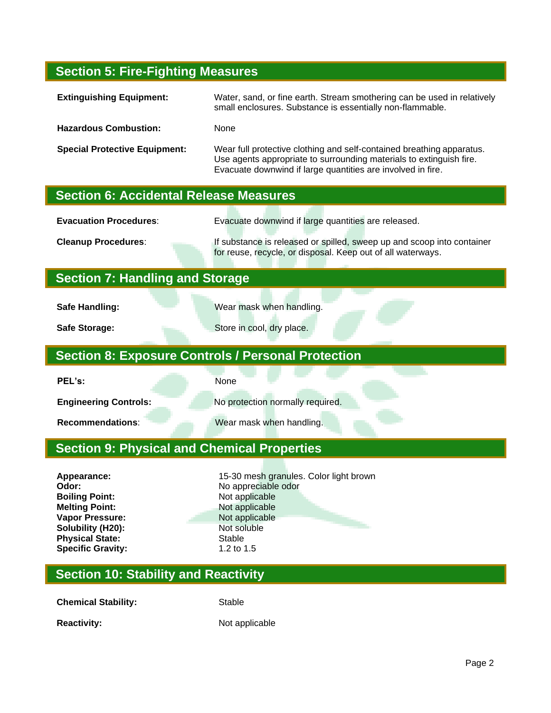#### **Section 5: Fire-Fighting Measures**

| <b>Extinguishing Equipment:</b>      | Water, sand, or fine earth. Stream smothering can be used in relatively<br>small enclosures. Substance is essentially non-flammable.                                                                        |
|--------------------------------------|-------------------------------------------------------------------------------------------------------------------------------------------------------------------------------------------------------------|
| <b>Hazardous Combustion:</b>         | None                                                                                                                                                                                                        |
| <b>Special Protective Equipment:</b> | Wear full protective clothing and self-contained breathing apparatus.<br>Use agents appropriate to surrounding materials to extinguish fire.<br>Evacuate downwind if large quantities are involved in fire. |

### **Section 6: Accidental Release Measures**

**Evacuation Procedures**: Evacuate downwind if large quantities are released.

**Cleanup Procedures**: If substance is released or spilled, sweep up and scoop into container for reuse, recycle, or disposal. Keep out of all waterways.

#### **Section 7: Handling and Storage**

**Safe Handling: Wear mask when handling.** 

**Safe Storage: Store in cool, dry place.** 

# **Section 8: Exposure Controls / Personal Protection**

**PEL's:** None

**Engineering Controls:** No protection normally required.

**Recommendations:** Wear mask when handling.

## **Section 9: Physical and Chemical Properties**

**Boiling Point:** Not applicable **Melting Point:** Not applicable **Vapor Pressure:** Not applicable **Solubility (H20):** Not soluble **Physical State:** Stable Specific Gravity: Stable 1.5 **Specific Gravity:** 

Appearance: **15-30 mesh granules. Color light brown Odor:** No appreciable odor

#### **Section 10: Stability and Reactivity**

**Chemical Stability:** Stable

**Reactivity:** Not applicable